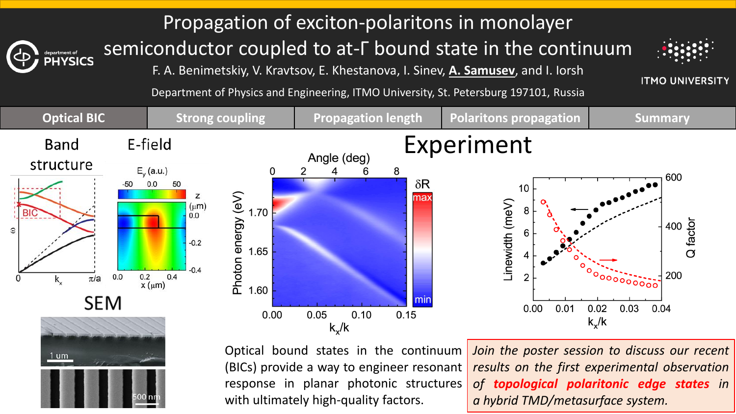### Propagation of exciton-polaritons in monolayer

semiconductor coupled to at-Г bound state in the continuum

F. A. Benimetskiy, V. Kravtsov, E. Khestanova, I. Sinev, **A. Samusev**, and I. Iorsh

**ITMO UNIVERSITY** 

Department of Physics and Engineering, ITMO University, St. Petersburg 197101, Russia



Optical bound states in the continuum (BICs) provide a way to engineer resonant response in planar photonic structures with ultimately high-quality factors.

*Join the poster session to discuss our recent results on the first experimental observation of topological polaritonic edge states in a hybrid TMD/metasurface system.*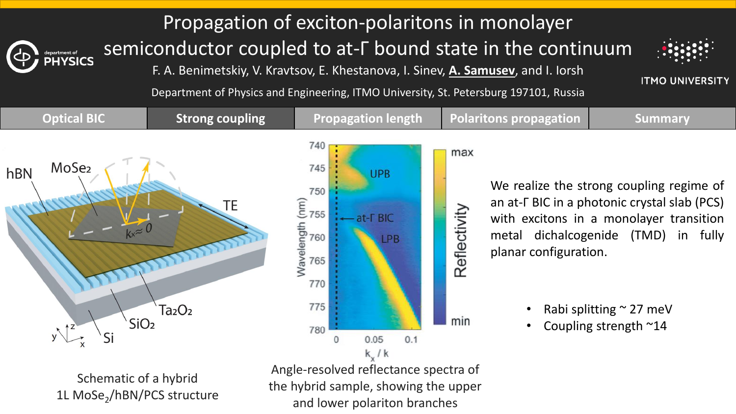#### Propagation of exciton-polaritons in monolayer semiconductor coupled to at-Г bound state in the continuum

F. A. Benimetskiy, V. Kravtsov, E. Khestanova, I. Sinev, **A. Samusev**, and I. Iorsh



**ITMO UNIVERSITY** 

Department of Physics and Engineering, ITMO University, St. Petersburg 197101, Russia



Schematic of a hybrid 1L MoSe<sub>2</sub>/hBN/PCS structure

Angle-resolved reflectance spectra of the hybrid sample, showing the upper and lower polariton branches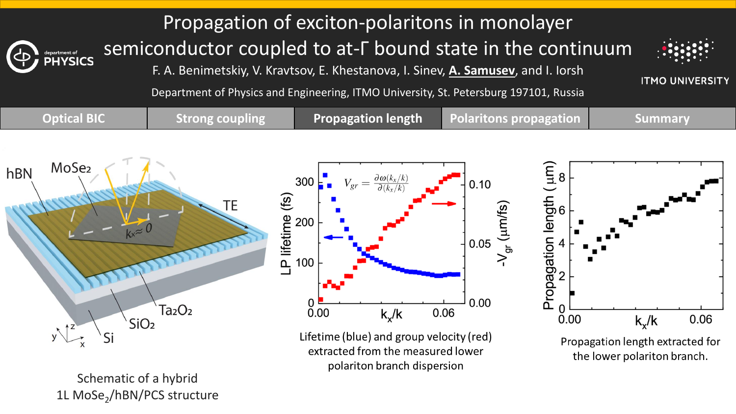#### Propagation of exciton-polaritons in monolayer semiconductor coupled to at-Г bound state in the continuum

F. A. Benimetskiy, V. Kravtsov, E. Khestanova, I. Sinev, **A. Samusev**, and I. Iorsh



**ITMO UNIVERSITY** 

Department of Physics and Engineering, ITMO University, St. Petersburg 197101, Russia



Schematic of a hybrid 1L MoSe<sub>2</sub>/hBN/PCS structure polariton branch dispersion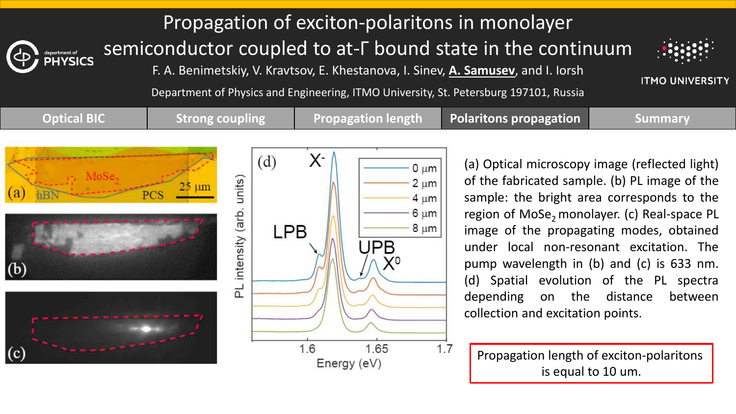Propagation of exciton-polaritons in monolayer semiconductor coupled to at-Г bound state in the continuum

F. A. Benimetskiy, V. Kravtsov, E. Khestanova, I. Sinev, **A. Samusev**, and I. Iorsh



**ITMO UNIVERSITY** 

Department of Physics and Engineering, ITMO University, St. Petersburg 197101, Russia